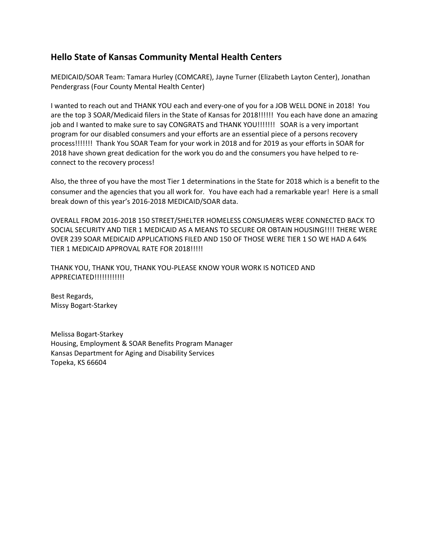## **Hello State of Kansas Community Mental Health Centers**

MEDICAID/SOAR Team: Tamara Hurley (COMCARE), Jayne Turner (Elizabeth Layton Center), Jonathan Pendergrass (Four County Mental Health Center)

I wanted to reach out and THANK YOU each and every‐one of you for a JOB WELL DONE in 2018! You are the top 3 SOAR/Medicaid filers in the State of Kansas for 2018!!!!!! You each have done an amazing job and I wanted to make sure to say CONGRATS and THANK YOU!!!!!!! SOAR is a very important program for our disabled consumers and your efforts are an essential piece of a persons recovery process!!!!!!! Thank You SOAR Team for your work in 2018 and for 2019 as your efforts in SOAR for 2018 have shown great dedication for the work you do and the consumers you have helped to re‐ connect to the recovery process!

Also, the three of you have the most Tier 1 determinations in the State for 2018 which is a benefit to the consumer and the agencies that you all work for. You have each had a remarkable year! Here is a small break down of this year's 2016‐2018 MEDICAID/SOAR data.

OVERALL FROM 2016‐2018 150 STREET/SHELTER HOMELESS CONSUMERS WERE CONNECTED BACK TO SOCIAL SECURITY AND TIER 1 MEDICAID AS A MEANS TO SECURE OR OBTAIN HOUSING!!!! THERE WERE OVER 239 SOAR MEDICAID APPLICATIONS FILED AND 150 OF THOSE WERE TIER 1 SO WE HAD A 64% TIER 1 MEDICAID APPROVAL RATE FOR 2018!!!!!

THANK YOU, THANK YOU, THANK YOU‐PLEASE KNOW YOUR WORK IS NOTICED AND APPRECIATED!!!!!!!!!!!!

Best Regards, Missy Bogart‐Starkey

Melissa Bogart‐Starkey Housing, Employment & SOAR Benefits Program Manager Kansas Department for Aging and Disability Services Topeka, KS 66604